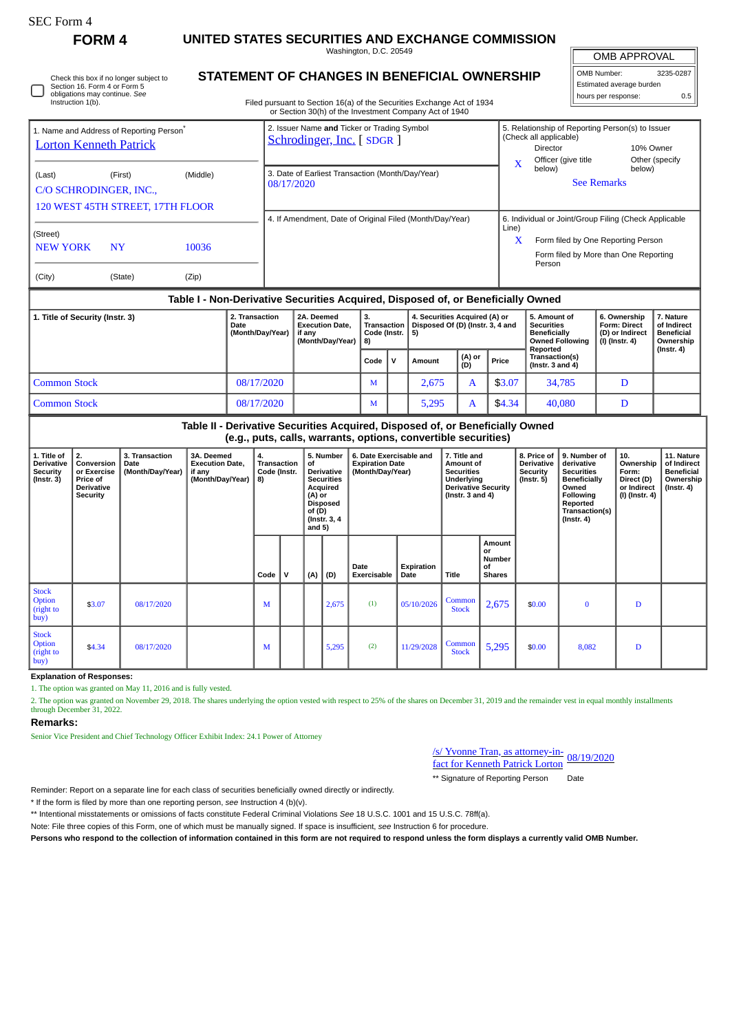# **FORM 4 UNITED STATES SECURITIES AND EXCHANGE COMMISSION**

Washington, D.C. 20549 **STATEMENT OF CHANGES IN BENEFICIAL OWNERSHIP**

OMB APPROVAL

OMB Number: 3235-0287 Estimated average burden hours per response:  $0.5$ 

| Section 16. Form 4 or Form 5                                                          | Check this box if no longer subject to |          | STATEMENT OF CHANGES IN BENEFICTAL OWNERSHIP                                                                                                                                                        |                                         |                     | Estimated average burden                                                                                                             |     |
|---------------------------------------------------------------------------------------|----------------------------------------|----------|-----------------------------------------------------------------------------------------------------------------------------------------------------------------------------------------------------|-----------------------------------------|---------------------|--------------------------------------------------------------------------------------------------------------------------------------|-----|
| obligations may continue. See<br>Instruction 1(b).                                    |                                        |          | Filed pursuant to Section 16(a) of the Securities Exchange Act of 1934<br>or Section 30(h) of the Investment Company Act of 1940                                                                    |                                         |                     | hours per response:                                                                                                                  | 0.5 |
| 1. Name and Address of Reporting Person <sup>®</sup><br><b>Lorton Kenneth Patrick</b> |                                        |          | 2. Issuer Name and Ticker or Trading Symbol<br>Schrodinger, Inc. [SDGR]                                                                                                                             | (Check all applicable)<br>Director<br>x | Officer (give title | 5. Relationship of Reporting Person(s) to Issuer<br>10% Owner<br>Other (specify                                                      |     |
| (Last)<br>C/O SCHRODINGER, INC.,<br>120 WEST 45TH STREET, 17TH FLOOR                  | (First)                                | (Middle) | 3. Date of Earliest Transaction (Month/Day/Year)<br>08/17/2020                                                                                                                                      | below)                                  | <b>See Remarks</b>  | below)                                                                                                                               |     |
| (Street)<br><b>NEW YORK</b>                                                           | <b>NY</b>                              | 10036    | 4. If Amendment, Date of Original Filed (Month/Day/Year)                                                                                                                                            | Line)<br>X<br>Person                    |                     | 6. Individual or Joint/Group Filing (Check Applicable<br>Form filed by One Reporting Person<br>Form filed by More than One Reporting |     |
| (City)                                                                                | (State)                                | (Zip)    |                                                                                                                                                                                                     |                                         |                     |                                                                                                                                      |     |
|                                                                                       |                                        |          | Table I - Non-Derivative Securities Acquired, Disposed of, or Beneficially Owned<br>and the state of the state of the state of the state of the state of the state of the state of the state of the |                                         |                     |                                                                                                                                      |     |
|                                                                                       |                                        |          |                                                                                                                                                                                                     |                                         |                     |                                                                                                                                      |     |

| 1. Title of Security (Instr. 3) | 2. Transaction<br>2A. Deemed<br><b>Execution Date.</b><br>Date<br>(Month/Day/Year)<br>if anv<br>(Month/Day/Year) |  | 3.<br>Transaction  <br>Code (Instr. $\vert 5 \rangle$<br><b>18)</b> |  | 4. Securities Acquired (A) or<br>Disposed Of (D) (Instr. 3, 4 and |               |        | 5. Amount of<br><b>Securities</b><br><b>Beneficially</b><br><b>Owned Following</b><br>Reported | 6. Ownership<br><b>Form: Direct</b><br>(D) or Indirect<br>(I) (Instr. 4) | 7. Nature<br>of Indirect<br><b>Beneficial</b><br>Ownership<br>$($ lnstr. 4 $)$ |
|---------------------------------|------------------------------------------------------------------------------------------------------------------|--|---------------------------------------------------------------------|--|-------------------------------------------------------------------|---------------|--------|------------------------------------------------------------------------------------------------|--------------------------------------------------------------------------|--------------------------------------------------------------------------------|
|                                 |                                                                                                                  |  |                                                                     |  | Amount                                                            | (A) or<br>(D) | Price  | Transaction(s)<br>( $lnstr.3$ and $4$ )                                                        |                                                                          |                                                                                |
| <b>Common Stock</b>             | 08/17/2020                                                                                                       |  | M                                                                   |  | 2.675                                                             |               | \$3.07 | 34,785                                                                                         | D                                                                        |                                                                                |
| <b>Common Stock</b>             | 08/17/2020                                                                                                       |  | M                                                                   |  | 5.295                                                             |               | \$4.34 | 40,080                                                                                         | D                                                                        |                                                                                |

**Table II - Derivative Securities Acquired, Disposed of, or Beneficially Owned (e.g., puts, calls, warrants, options, convertible securities)**

| 1. Title of<br><b>Derivative</b><br>Security<br>$($ lnstr. 3 $)$ | 2.<br>Conversion<br>or Exercise<br>Price of<br><b>Derivative</b><br>Security | 3. Transaction<br>Date<br>(Month/Day/Year) | 3A. Deemed<br><b>Execution Date,</b><br>if any<br>(Month/Day/Year) | 4.<br>Transaction<br>Code (Instr.<br>8) |            | 5. Number<br>of<br>Derivative<br><b>Securities</b><br>Acquired<br>$(A)$ or<br><b>Disposed</b><br>of $(D)$<br>(Instr. 3, 4)<br>and $5)$ |       | 6. Date Exercisable and<br><b>Expiration Date</b><br>(Month/Day/Year) |                    | 7. Title and<br>Amount of<br><b>Securities</b><br>Underlying<br><b>Derivative Security</b><br>(Instr. $3$ and $4$ ) |                                               | 8. Price of<br><b>Derivative</b><br>Security<br>$($ lnstr. 5 $)$ | 9. Number of<br>derivative<br><b>Securities</b><br><b>Beneficially</b><br>Owned<br>Following<br>Reported<br>Transaction(s)<br>$($ Instr. 4 $)$ | 10.<br>Ownership<br>Form:<br>Direct (D)<br>or Indirect<br>(I) (Instr. 4) | 11. Nature<br>of Indirect<br><b>Beneficial</b><br>Ownership<br>(Instr. 4) |
|------------------------------------------------------------------|------------------------------------------------------------------------------|--------------------------------------------|--------------------------------------------------------------------|-----------------------------------------|------------|----------------------------------------------------------------------------------------------------------------------------------------|-------|-----------------------------------------------------------------------|--------------------|---------------------------------------------------------------------------------------------------------------------|-----------------------------------------------|------------------------------------------------------------------|------------------------------------------------------------------------------------------------------------------------------------------------|--------------------------------------------------------------------------|---------------------------------------------------------------------------|
|                                                                  |                                                                              |                                            |                                                                    | Code                                    | . <b>v</b> | (A)                                                                                                                                    | (D)   | Date<br>Exercisable                                                   | Expiration<br>Date | Title                                                                                                               | Amount<br>or<br>Number<br>οf<br><b>Shares</b> |                                                                  |                                                                                                                                                |                                                                          |                                                                           |
| <b>Stock</b><br><b>Option</b><br>(right to<br> buy)              | \$3.07                                                                       | 08/17/2020                                 |                                                                    | M                                       |            |                                                                                                                                        | 2,675 | (1)                                                                   | 05/10/2026         | Common<br><b>Stock</b>                                                                                              | 2,675                                         | \$0.00                                                           | $\bf{0}$                                                                                                                                       | D                                                                        |                                                                           |
| <b>Stock</b><br>Option<br>(right to<br>$\log$                    | \$4.34                                                                       | 08/17/2020                                 |                                                                    | M                                       |            |                                                                                                                                        | 5,295 | (2)                                                                   | 11/29/2028         | Common<br><b>Stock</b>                                                                                              | 5,295                                         | \$0.00                                                           | 8,082                                                                                                                                          | D                                                                        |                                                                           |

### **Explanation of Responses:**

1. The option was granted on May 11, 2016 and is fully vested.

2. The option was granted on November 29, 2018. The shares underlying the option vested with respect to 25% of the shares on December 31, 2019 and the remainder vest in equal monthly installments through December 31, 2022.

#### **Remarks:**

Senior Vice President and Chief Technology Officer Exhibit Index: 24.1 Power of Attorney

| /s/ Yvonne Tran, as attorney-in-<br>fact for Kenneth Patrick Lorton 08/19/2020 |  |
|--------------------------------------------------------------------------------|--|

\*\* Signature of Reporting Person Date

Reminder: Report on a separate line for each class of securities beneficially owned directly or indirectly.

\* If the form is filed by more than one reporting person, *see* Instruction 4 (b)(v).

\*\* Intentional misstatements or omissions of facts constitute Federal Criminal Violations *See* 18 U.S.C. 1001 and 15 U.S.C. 78ff(a).

Note: File three copies of this Form, one of which must be manually signed. If space is insufficient, *see* Instruction 6 for procedure.

**Persons who respond to the collection of information contained in this form are not required to respond unless the form displays a currently valid OMB Number.**